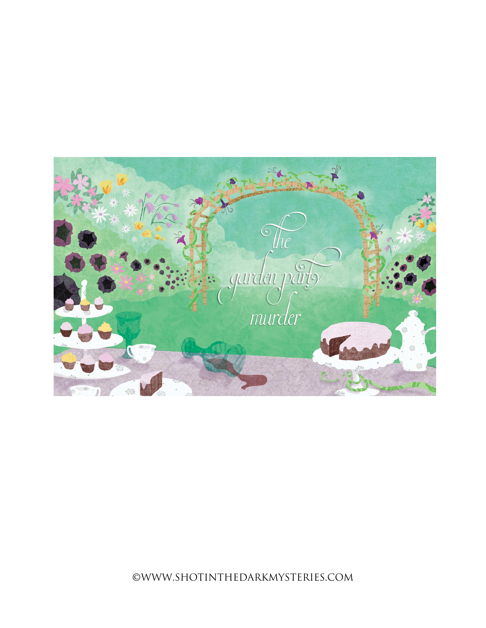

©WWW.SHOTINTHEDARKMYSTERIES.COM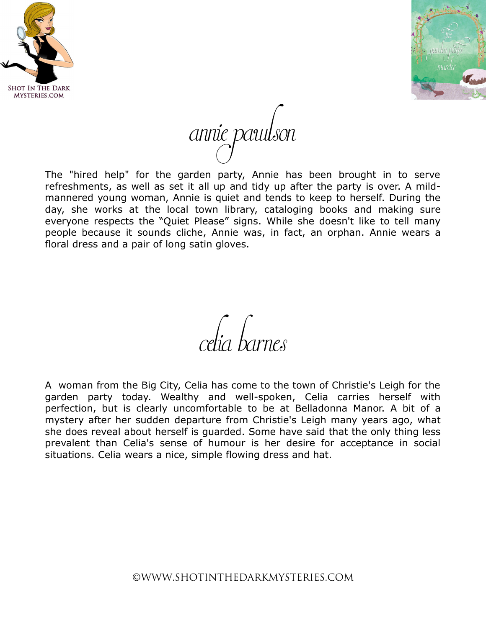



annie pawlson

The "hired help" for the garden party, Annie has been brought in to serve refreshments, as well as set it all up and tidy up after the party is over. A mildmannered young woman, Annie is quiet and tends to keep to herself. During the day, she works at the local town library, cataloging books and making sure everyone respects the "Quiet Please" signs. While she doesn't like to tell many people because it sounds cliche, Annie was, in fact, an orphan. Annie wears a floral dress and a pair of long satin gloves.

celia barnes

A woman from the Big City, Celia has come to the town of Christie's Leigh for the garden party today. Wealthy and well-spoken, Celia carries herself with perfection, but is clearly uncomfortable to be at Belladonna Manor. A bit of a mystery after her sudden departure from Christie's Leigh many years ago, what she does reveal about herself is guarded. Some have said that the only thing less prevalent than Celia's sense of humour is her desire for acceptance in social situations. Celia wears a nice, simple flowing dress and hat.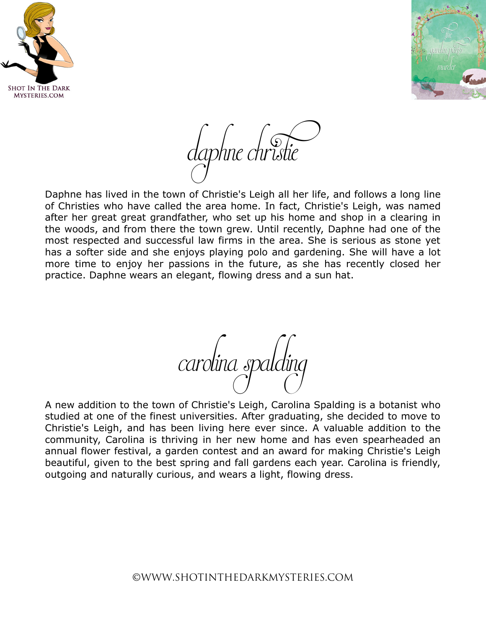



daphne christie

Daphne has lived in the town of Christie's Leigh all her life, and follows a long line of Christies who have called the area home. In fact, Christie's Leigh, was named after her great great grandfather, who set up his home and shop in a clearing in the woods, and from there the town grew. Until recently, Daphne had one of the most respected and successful law firms in the area. She is serious as stone yet has a softer side and she enjoys playing polo and gardening. She will have a lot more time to enjoy her passions in the future, as she has recently closed her practice. Daphne wears an elegant, flowing dress and a sun hat.

carolina spalding

A new addition to the town of Christie's Leigh, Carolina Spalding is a botanist who studied at one of the finest universities. After graduating, she decided to move to Christie's Leigh, and has been living here ever since. A valuable addition to the community, Carolina is thriving in her new home and has even spearheaded an annual flower festival, a garden contest and an award for making Christie's Leigh beautiful, given to the best spring and fall gardens each year. Carolina is friendly, outgoing and naturally curious, and wears a light, flowing dress.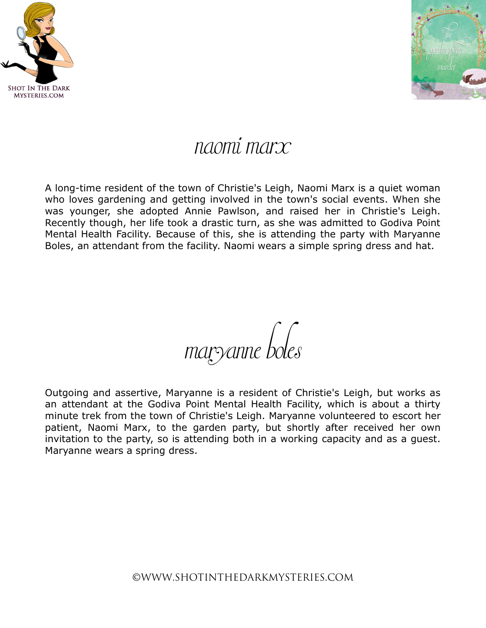



## naomi marx

A long-time resident of the town of Christie's Leigh, Naomi Marx is a quiet woman who loves gardening and getting involved in the town's social events. When she was younger, she adopted Annie Pawlson, and raised her in Christie's Leigh. Recently though, her life took a drastic turn, as she was admitted to Godiva Point Mental Health Facility. Because of this, she is attending the party with Maryanne Boles, an attendant from the facility. Naomi wears a simple spring dress and hat.

maryanne boles

Outgoing and assertive, Maryanne is a resident of Christie's Leigh, but works as an attendant at the Godiva Point Mental Health Facility, which is about a thirty minute trek from the town of Christie's Leigh. Maryanne volunteered to escort her patient, Naomi Marx, to the garden party, but shortly after received her own invitation to the party, so is attending both in a working capacity and as a guest. Maryanne wears a spring dress.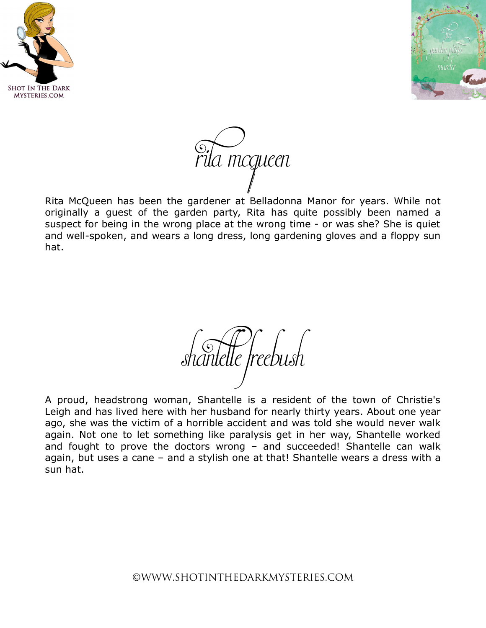





Rita McQueen has been the gardener at Belladonna Manor for years. While not originally a guest of the garden party, Rita has quite possibly been named a suspect for being in the wrong place at the wrong time - or was she? She is quiet and well-spoken, and wears a long dress, long gardening gloves and a floppy sun hat.

shantelle freebush

A proud, headstrong woman, Shantelle is a resident of the town of Christie's Leigh and has lived here with her husband for nearly thirty years. About one year ago, she was the victim of a horrible accident and was told she would never walk again. Not one to let something like paralysis get in her way, Shantelle worked and fought to prove the doctors wrong – and succeeded! Shantelle can walk again, but uses a cane – and a stylish one at that! Shantelle wears a dress with a sun hat.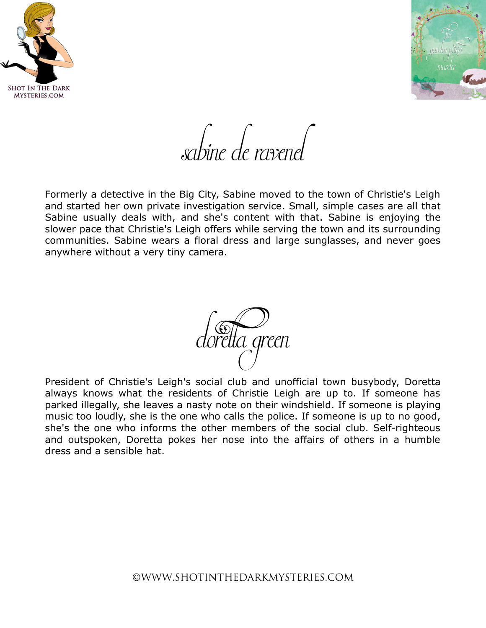



sabine de ravenel

Formerly a detective in the Big City, Sabine moved to the town of Christie's Leigh and started her own private investigation service. Small, simple cases are all that Sabine usually deals with, and she's content with that. Sabine is enjoying the slower pace that Christie's Leigh offers while serving the town and its surrounding communities. Sabine wears a floral dress and large sunglasses, and never goes anywhere without a very tiny camera.



President of Christie's Leigh's social club and unofficial town busybody, Doretta always knows what the residents of Christie Leigh are up to. If someone has parked illegally, she leaves a nasty note on their windshield. If someone is playing music too loudly, she is the one who calls the police. If someone is up to no good, she's the one who informs the other members of the social club. Self-righteous and outspoken, Doretta pokes her nose into the affairs of others in a humble dress and a sensible hat.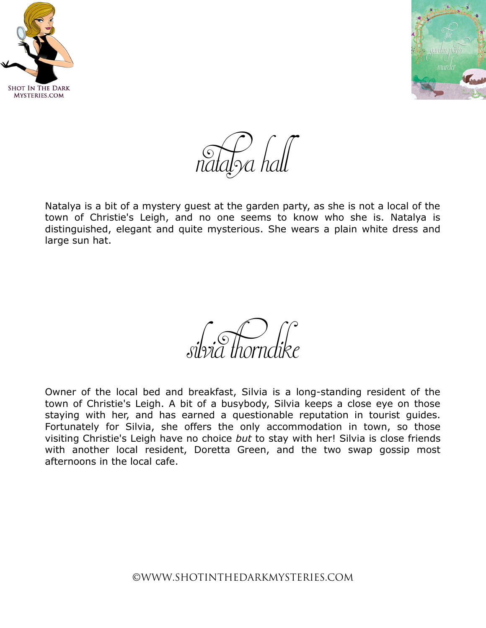



 $\sum_{\alpha \in \mathcal{N}}$  hall

Natalya is a bit of a mystery guest at the garden party, as she is not a local of the town of Christie's Leigh, and no one seems to know who she is. Natalya is distinguished, elegant and quite mysterious. She wears a plain white dress and large sun hat.

silvia thorndike

Owner of the local bed and breakfast, Silvia is a long-standing resident of the town of Christie's Leigh. A bit of a busybody, Silvia keeps a close eye on those staying with her, and has earned a questionable reputation in tourist guides. Fortunately for Silvia, she offers the only accommodation in town, so those visiting Christie's Leigh have no choice *but* to stay with her! Silvia is close friends with another local resident, Doretta Green, and the two swap gossip most afternoons in the local cafe.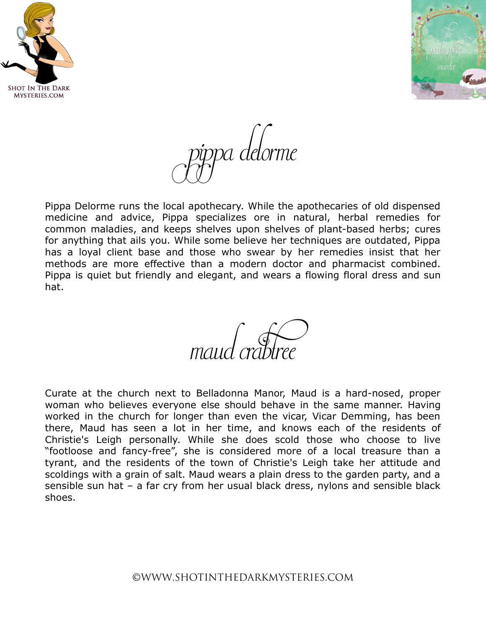



pippa delorme

Pippa Delorme runs the local apothecary. While the apothecaries of old dispensed medicine and advice, Pippa specializes ore in natural, herbal remedies for common maladies, and keeps shelves upon shelves of plant-based herbs; cures for anything that ails you. While some believe her techniques are outdated, Pippa has a loyal client base and those who swear by her remedies insist that her methods are more effective than a modern doctor and pharmacist combined. Pippa is quiet but friendly and elegant, and wears a flowing floral dress and sun hat.

maud crabtree

Curate at the church next to Belladonna Manor, Maud is a hard-nosed, proper woman who believes everyone else should behave in the same manner. Having worked in the church for longer than even the vicar, Vicar Demming, has been there, Maud has seen a lot in her time, and knows each of the residents of Christie's Leigh personally. While she does scold those who choose to live "footloose and fancy-free", she is considered more of a local treasure than a tyrant, and the residents of the town of Christie's Leigh take her attitude and scoldings with a grain of salt. Maud wears a plain dress to the garden party, and a sensible sun hat – a far cry from her usual black dress, nylons and sensible black shoes.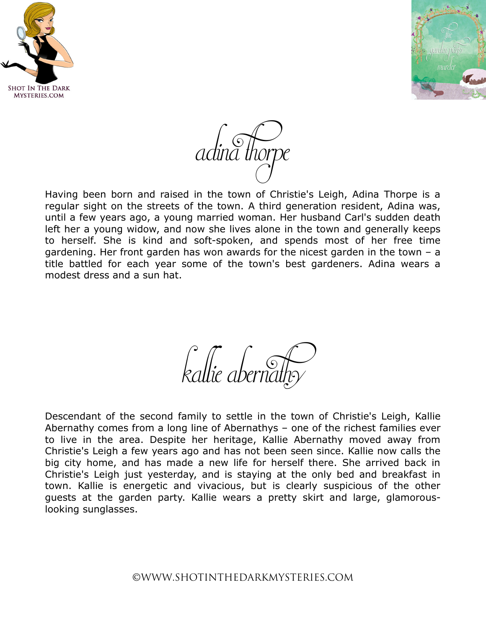



adina thorpe

Having been born and raised in the town of Christie's Leigh, Adina Thorpe is a regular sight on the streets of the town. A third generation resident, Adina was, until a few years ago, a young married woman. Her husband Carl's sudden death left her a young widow, and now she lives alone in the town and generally keeps to herself. She is kind and soft-spoken, and spends most of her free time gardening. Her front garden has won awards for the nicest garden in the town – a title battled for each year some of the town's best gardeners. Adina wears a modest dress and a sun hat.

kallie abernathy

Descendant of the second family to settle in the town of Christie's Leigh, Kallie Abernathy comes from a long line of Abernathys – one of the richest families ever to live in the area. Despite her heritage, Kallie Abernathy moved away from Christie's Leigh a few years ago and has not been seen since. Kallie now calls the big city home, and has made a new life for herself there. She arrived back in Christie's Leigh just yesterday, and is staying at the only bed and breakfast in town. Kallie is energetic and vivacious, but is clearly suspicious of the other guests at the garden party. Kallie wears a pretty skirt and large, glamorouslooking sunglasses.